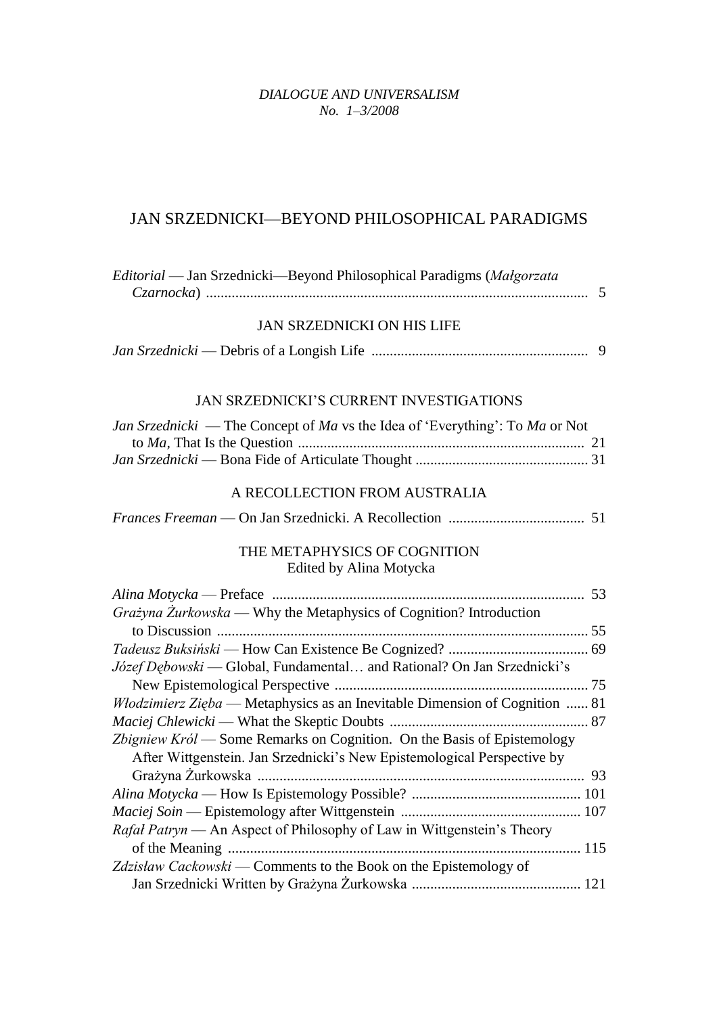## *DIALOGUE AND UNIVERSALISM No. 1–3/2008*

## JAN SRZEDNICKI—BEYOND PHILOSOPHICAL PARADIGMS

| Editorial - Jan Srzednicki-Beyond Philosophical Paradigms (Malgorzata                                                                              |
|----------------------------------------------------------------------------------------------------------------------------------------------------|
| <b>JAN SRZEDNICKI ON HIS LIFE</b>                                                                                                                  |
|                                                                                                                                                    |
| JAN SRZEDNICKI'S CURRENT INVESTIGATIONS                                                                                                            |
| <i>Jan Srzednicki</i> — The Concept of <i>Ma</i> vs the Idea of 'Everything': To <i>Ma</i> or Not                                                  |
| A RECOLLECTION FROM AUSTRALIA                                                                                                                      |
|                                                                                                                                                    |
| THE METAPHYSICS OF COGNITION<br>Edited by Alina Motycka                                                                                            |
|                                                                                                                                                    |
|                                                                                                                                                    |
| Grażyna Żurkowska — Why the Metaphysics of Cognition? Introduction                                                                                 |
|                                                                                                                                                    |
|                                                                                                                                                    |
| Józef Dębowski - Global, Fundamental and Rational? On Jan Srzednicki's                                                                             |
|                                                                                                                                                    |
| Włodzimierz Zięba — Metaphysics as an Inevitable Dimension of Cognition  81                                                                        |
| Zbigniew Król — Some Remarks on Cognition. On the Basis of Epistemology<br>After Wittgenstein. Jan Srzednicki's New Epistemological Perspective by |
|                                                                                                                                                    |
|                                                                                                                                                    |
|                                                                                                                                                    |
| Rafal Patryn — An Aspect of Philosophy of Law in Wittgenstein's Theory                                                                             |
|                                                                                                                                                    |
| Zdzisław Cackowski — Comments to the Book on the Epistemology of                                                                                   |